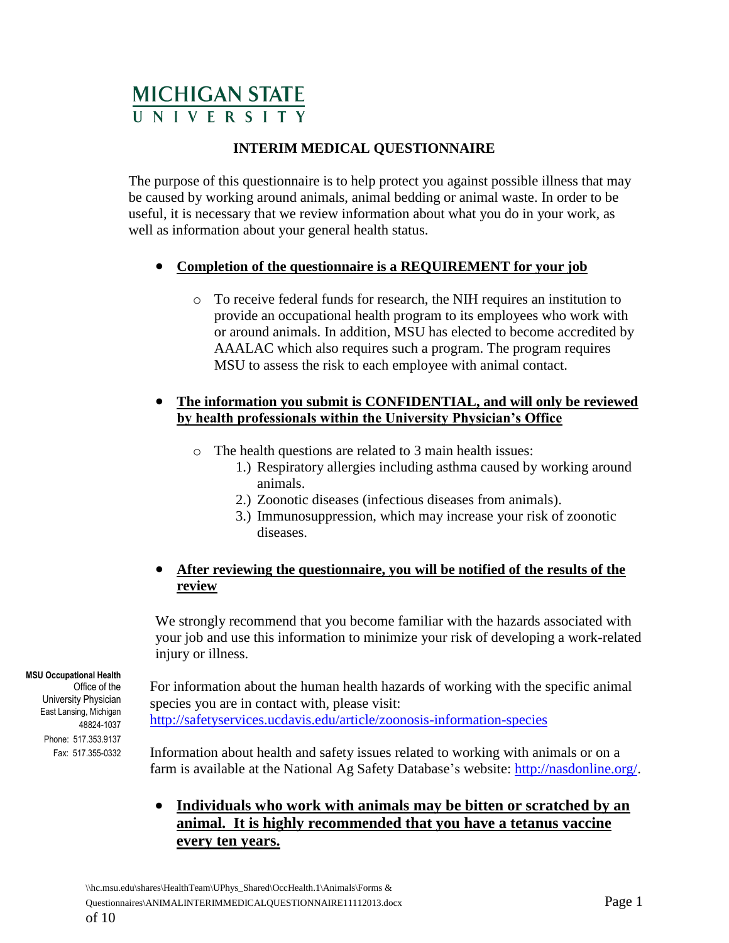# **MICHIGAN STATE**

#### **INTERIM MEDICAL QUESTIONNAIRE**

The purpose of this questionnaire is to help protect you against possible illness that may be caused by working around animals, animal bedding or animal waste. In order to be useful, it is necessary that we review information about what you do in your work, as well as information about your general health status.

#### **Completion of the questionnaire is a REQUIREMENT for your job**

o To receive federal funds for research, the NIH requires an institution to provide an occupational health program to its employees who work with or around animals. In addition, MSU has elected to become accredited by AAALAC which also requires such a program. The program requires MSU to assess the risk to each employee with animal contact.

#### **The information you submit is CONFIDENTIAL, and will only be reviewed by health professionals within the University Physician's Office**

- o The health questions are related to 3 main health issues:
	- 1.) Respiratory allergies including asthma caused by working around animals.
	- 2.) Zoonotic diseases (infectious diseases from animals).
	- 3.) Immunosuppression, which may increase your risk of zoonotic diseases.

#### **After reviewing the questionnaire, you will be notified of the results of the review**

We strongly recommend that you become familiar with the hazards associated with your job and use this information to minimize your risk of developing a work-related injury or illness.

 **MSU Occupational Health**

Office of the University Physician East Lansing, Michigan 48824-1037 Phone: 517.353.9137 Fax: 517.355-0332

For information about the human health hazards of working with the specific animal species you are in contact with, please visit: <http://safetyservices.ucdavis.edu/article/zoonosis-information-species>

Information about health and safety issues related to working with animals or on a farm is available at the National Ag Safety Database's website: [http://nasdonline.org/.](http://nasdonline.org/)

### **Individuals who work with animals may be bitten or scratched by an animal. It is highly recommended that you have a tetanus vaccine every ten years.**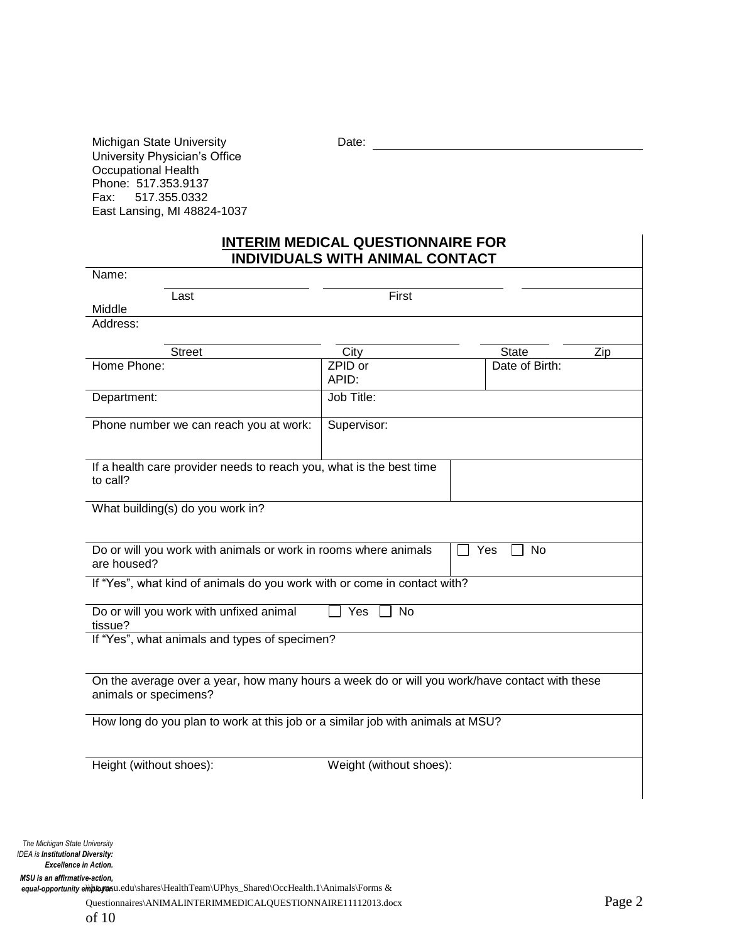Michigan State University **Date:** Date: Date: 2008. Date: 2008. Date: 2008. Date: 2008. Date: 2008. Date: 2008. Date: 2008. Date: 2008. 2008. Date: 2008. 2008. 2008. 2008. 2008. 2008. 2008. 2008. 2008. 2008. 2008. 2008. 20 University Physician's Office Occupational Health Phone: 517.353.9137 Fax: 517.355.0332 East Lansing, MI 48824-1037

#### **INTERIM MEDICAL QUESTIONNAIRE FOR INDIVIDUALS WITH ANIMAL CONTACT**

| Name:                                                                                                                  |                         |                     |
|------------------------------------------------------------------------------------------------------------------------|-------------------------|---------------------|
| Last                                                                                                                   | First                   |                     |
| Middle                                                                                                                 |                         |                     |
| Address:                                                                                                               |                         |                     |
| <b>Street</b>                                                                                                          | City                    | <b>State</b><br>Zip |
| Home Phone:                                                                                                            | ZPID or<br>APID:        | Date of Birth:      |
| Department:                                                                                                            | Job Title:              |                     |
| Phone number we can reach you at work:                                                                                 | Supervisor:             |                     |
| If a health care provider needs to reach you, what is the best time<br>to call?                                        |                         |                     |
| What building(s) do you work in?                                                                                       |                         |                     |
| Do or will you work with animals or work in rooms where animals<br>are housed?                                         |                         | Yes<br>No           |
| If "Yes", what kind of animals do you work with or come in contact with?                                               |                         |                     |
| Do or will you work with unfixed animal<br>tissue?                                                                     | Yes<br><b>No</b>        |                     |
| If "Yes", what animals and types of specimen?                                                                          |                         |                     |
| On the average over a year, how many hours a week do or will you work/have contact with these<br>animals or specimens? |                         |                     |
| How long do you plan to work at this job or a similar job with animals at MSU?                                         |                         |                     |
| Height (without shoes):                                                                                                | Weight (without shoes): |                     |
|                                                                                                                        |                         |                     |

of 10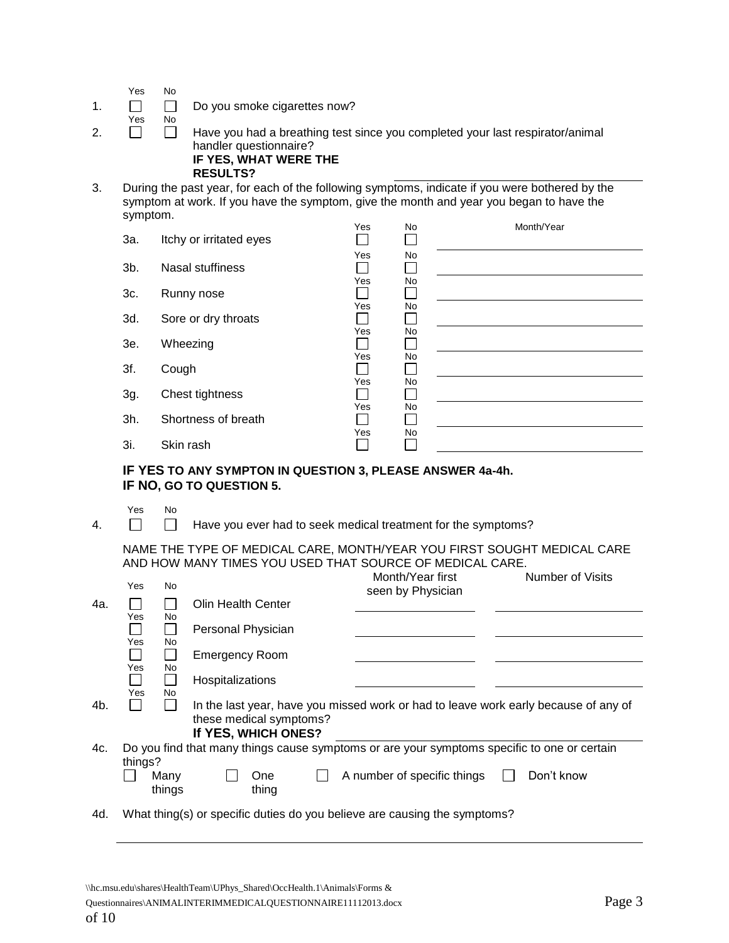| Yes | No |
|-----|----|
|-----|----|

- 1.  $\Box$  Do you smoke cigarettes now?
- Yes No 2.  $\Box$  Have you had a breathing test since you completed your last respirator/animal handler questionnaire? **IF YES, WHAT WERE THE RESULTS?**
- 3. During the past year, for each of the following symptoms, indicate if you were bothered by the symptom at work. If you have the symptom, give the month and year you began to have the symptom.

|        |                         | Yes | No | Month/Year |
|--------|-------------------------|-----|----|------------|
| За.    | Itchy or irritated eyes |     |    |            |
|        |                         | Yes | No |            |
| $3b$ . | Nasal stuffiness        |     |    |            |
|        |                         | Yes | No |            |
| 3c.    | Runny nose              |     |    |            |
|        |                         | Yes | No |            |
| 3d.    | Sore or dry throats     |     |    |            |
|        |                         | Yes | No |            |
| 3e.    | Wheezing                |     |    |            |
|        |                         | Yes | No |            |
| 3f.    | Cough                   |     |    |            |
|        |                         | Yes | No |            |
| 3g.    | Chest tightness         |     |    |            |
|        |                         | Yes | No |            |
| 3h.    | Shortness of breath     |     |    |            |
|        |                         | Yes | No |            |
| 3i.    | Skin rash               |     |    |            |

#### **IF YES TO ANY SYMPTON IN QUESTION 3, PLEASE ANSWER 4a-4h. IF NO, GO TO QUESTION 5.**

Yes No

4.  $\Box$  Have you ever had to seek medical treatment for the symptoms?

NAME THE TYPE OF MEDICAL CARE, MONTH/YEAR YOU FIRST SOUGHT MEDICAL CARE AND HOW MANY TIMES YOU USED THAT SOURCE OF MEDICAL CARE.

|     | Yes        | No.            |                                                |               | Month/Year first<br>seen by Physician                                                       | <b>Number of Visits</b> |
|-----|------------|----------------|------------------------------------------------|---------------|---------------------------------------------------------------------------------------------|-------------------------|
| 4a. |            |                | Olin Health Center                             |               |                                                                                             |                         |
|     | Yes        | No.            | Personal Physician                             |               |                                                                                             |                         |
|     | Yes<br>Yes | No.<br>No      | <b>Emergency Room</b>                          |               |                                                                                             |                         |
|     | Yes        | <b>No</b>      | Hospitalizations                               |               |                                                                                             |                         |
| 4b. |            |                | these medical symptoms?<br>If YES, WHICH ONES? |               | In the last year, have you missed work or had to leave work early because of any of         |                         |
| 4c. | things?    |                |                                                |               | Do you find that many things cause symptoms or are your symptoms specific to one or certain |                         |
|     |            | Many<br>things |                                                | One:<br>thing | A number of specific things                                                                 | Don't know              |
| 4d. |            |                |                                                |               | What thing(s) or specific duties do you believe are causing the symptoms?                   |                         |

Questionnaires\ANIMALINTERIMMEDICALQUESTIONNAIRE11112013.docx Page 3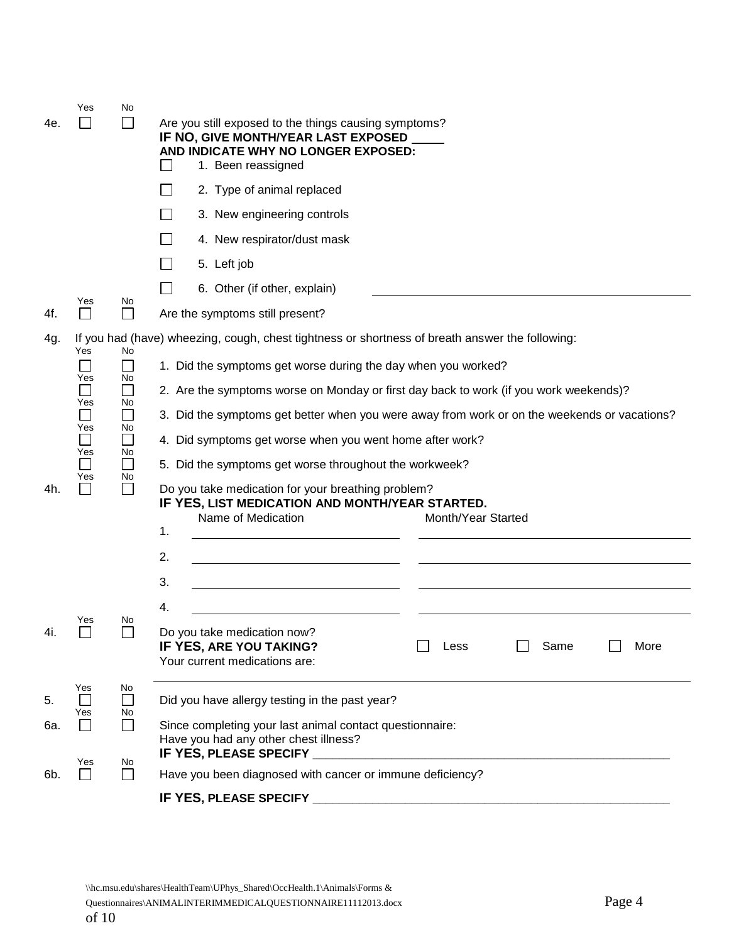| 4e.        | Yes                                              | No.                                   | Are you still exposed to the things causing symptoms?<br>IF NO, GIVE MONTH/YEAR LAST EXPOSED<br>AND INDICATE WHY NO LONGER EXPOSED:<br>1. Been reassigned<br>2. Type of animal replaced<br>3. New engineering controls                                                                                                                                                                                                                                                                                                                                                                                                                                 |
|------------|--------------------------------------------------|---------------------------------------|--------------------------------------------------------------------------------------------------------------------------------------------------------------------------------------------------------------------------------------------------------------------------------------------------------------------------------------------------------------------------------------------------------------------------------------------------------------------------------------------------------------------------------------------------------------------------------------------------------------------------------------------------------|
|            |                                                  |                                       | 4. New respirator/dust mask                                                                                                                                                                                                                                                                                                                                                                                                                                                                                                                                                                                                                            |
|            |                                                  |                                       | 5. Left job                                                                                                                                                                                                                                                                                                                                                                                                                                                                                                                                                                                                                                            |
|            | Yes                                              | No                                    | 6. Other (if other, explain)                                                                                                                                                                                                                                                                                                                                                                                                                                                                                                                                                                                                                           |
| 4f.        |                                                  |                                       | Are the symptoms still present?                                                                                                                                                                                                                                                                                                                                                                                                                                                                                                                                                                                                                        |
| 4g.<br>4h. | Yes<br>Yes<br>Yes<br>Yes<br>$\sim$<br>Yes<br>Yes | No<br>No<br>No<br>No<br>L<br>No<br>No | If you had (have) wheezing, cough, chest tightness or shortness of breath answer the following:<br>1. Did the symptoms get worse during the day when you worked?<br>2. Are the symptoms worse on Monday or first day back to work (if you work weekends)?<br>3. Did the symptoms get better when you were away from work or on the weekends or vacations?<br>4. Did symptoms get worse when you went home after work?<br>5. Did the symptoms get worse throughout the workweek?<br>Do you take medication for your breathing problem?<br>IF YES, LIST MEDICATION AND MONTH/YEAR STARTED.<br>Name of Medication<br>Month/Year Started<br>1.<br>2.<br>3. |
| 4i.        | Yes                                              | No                                    | 4.<br>Do you take medication now?<br>IF YES, ARE YOU TAKING?<br>Same<br>More<br>Less<br>Your current medications are:                                                                                                                                                                                                                                                                                                                                                                                                                                                                                                                                  |
| 5.         | Yes<br>Yes                                       | No<br>No.                             | Did you have allergy testing in the past year?                                                                                                                                                                                                                                                                                                                                                                                                                                                                                                                                                                                                         |
| 6а.        |                                                  |                                       | Since completing your last animal contact questionnaire:<br>Have you had any other chest illness?                                                                                                                                                                                                                                                                                                                                                                                                                                                                                                                                                      |
| 6b.        | Yes                                              | No.<br>$\mathcal{L}_{\mathcal{A}}$    | IF YES, PLEASE SPECIFY<br>Have you been diagnosed with cancer or immune deficiency?                                                                                                                                                                                                                                                                                                                                                                                                                                                                                                                                                                    |
|            |                                                  |                                       | <b>IF YES, PLEASE SPECIFY</b>                                                                                                                                                                                                                                                                                                                                                                                                                                                                                                                                                                                                                          |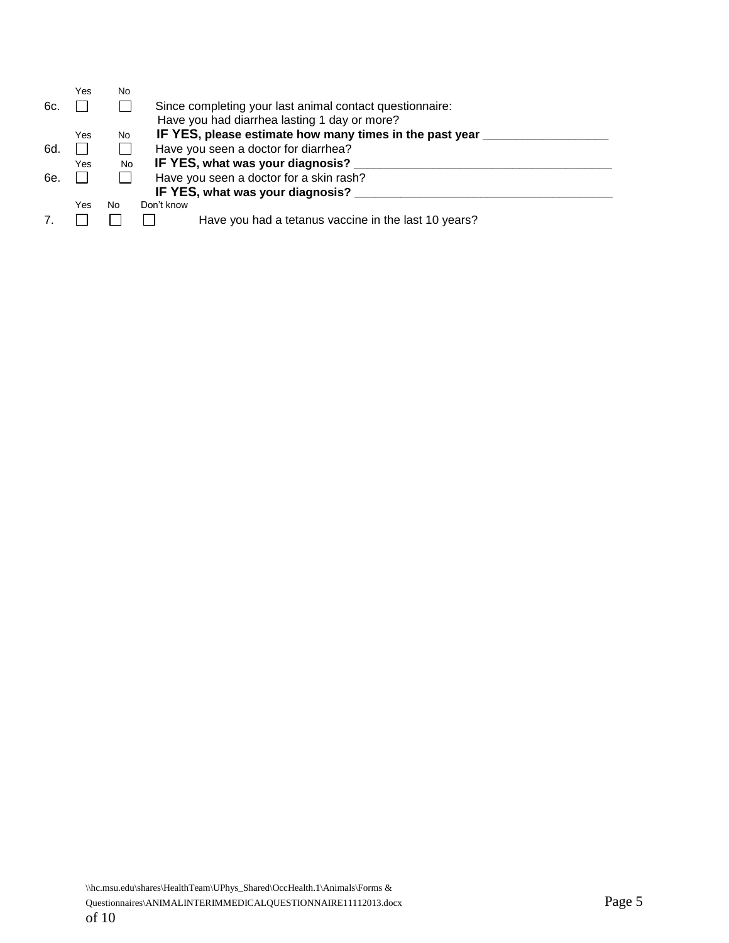|     | Yes | No        |                                                          |
|-----|-----|-----------|----------------------------------------------------------|
| 6с. |     |           | Since completing your last animal contact questionnaire: |
|     |     |           | Have you had diarrhea lasting 1 day or more?             |
|     | Yes | <b>No</b> | IF YES, please estimate how many times in the past year  |
| 6d. |     |           | Have you seen a doctor for diarrhea?                     |
|     | Yes | No.       | IF YES, what was your diagnosis?                         |
| 6e. |     |           | Have you seen a doctor for a skin rash?                  |
|     |     |           | IF YES, what was your diagnosis?                         |
|     | Yes | No.       | Don't know                                               |
|     |     |           | Have you had a tetanus vaccine in the last 10 years?     |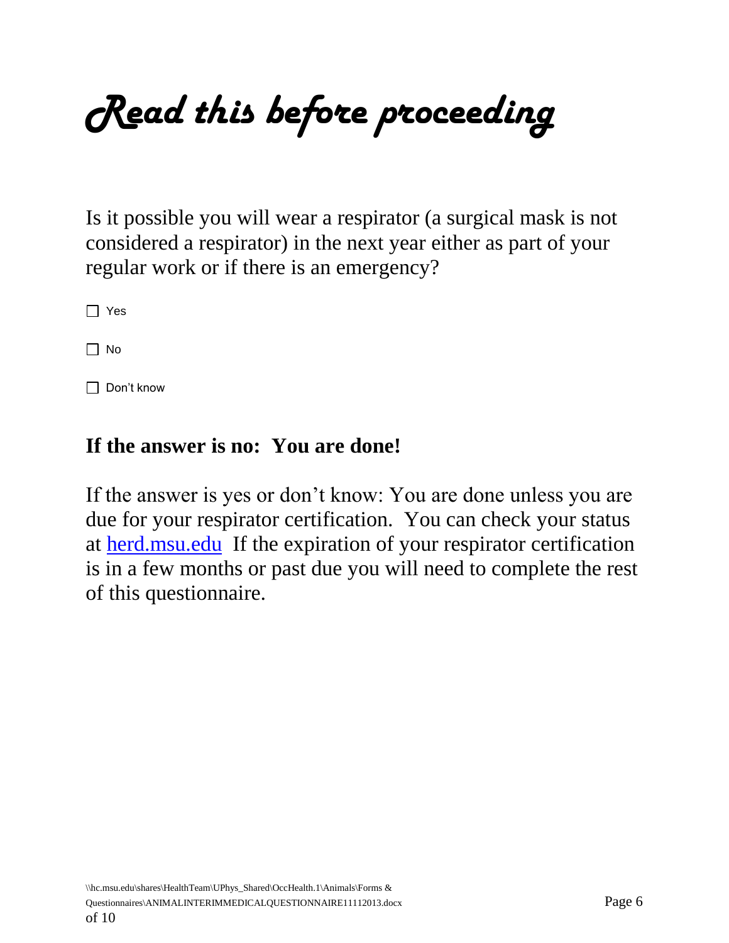*Read this before proceeding*

Is it possible you will wear a respirator (a surgical mask is not considered a respirator) in the next year either as part of your regular work or if there is an emergency?

 $\Box$  Yes

 $\Box$  No

□ Don't know

## **If the answer is no: You are done!**

If the answer is yes or don't know: You are done unless you are due for your respirator certification. You can check your status at [herd.msu.edu](http://www.herd.msu.edu/) If the expiration of your respirator certification is in a few months or past due you will need to complete the rest of this questionnaire.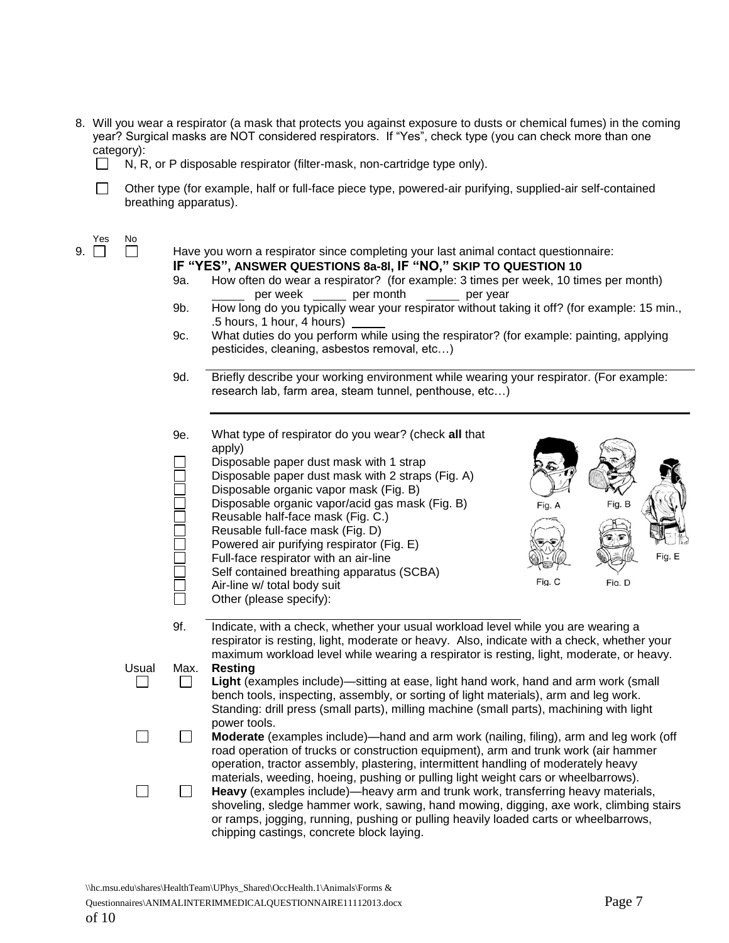- 8. Will you wear a respirator (a mask that protects you against exposure to dusts or chemical fumes) in the coming year? Surgical masks are NOT considered respirators. If "Yes", check type (you can check more than one category):
	- $\Box$  N, R, or P disposable respirator (filter-mask, non-cartridge type only).

 $\Box$ Other type (for example, half or full-face piece type, powered-air purifying, supplied-air self-contained breathing apparatus).

 $\begin{array}{c} \gamma_{\text{es}} \\ \gamma_{\text{es}} \\ \gamma_{\text{es}} \end{array}$ 

 $\Box$  Have you worn a respirator since completing your last animal contact questionnaire: **IF "YES", ANSWER QUESTIONS 8a-8l, IF "NO," SKIP TO QUESTION 10**

- 9a. How often do wear a respirator? (for example: 3 times per week, 10 times per month)<br>per week \_\_\_\_\_\_ per month \_\_\_\_\_\_ per year per week \_\_\_\_\_ per month \_\_\_\_\_ per year
- 9b. How long do you typically wear your respirator without taking it off? (for example: 15 min., .5 hours, 1 hour, 4 hours)
- 9c. What duties do you perform while using the respirator? (for example: painting, applying pesticides, cleaning, asbestos removal, etc…)
- 9d. Briefly describe your working environment while wearing your respirator. (For example: research lab, farm area, steam tunnel, penthouse, etc…)
- 9e. What type of respirator do you wear? (check **all** that apply) Disposable paper dust mask with 1 strap Disposable paper dust mask with 2 straps (Fig. A) Disposable organic vapor mask (Fig. B) Disposable organic vapor/acid gas mask (Fig. B) Fig. A Reusable half-face mask (Fig. C.) Reusable full-face mask (Fig. D) Powered air purifying respirator (Fig. E) Full-face respirator with an air-line Fig. E Self contained breathing apparatus (SCBA) Fig. C Fig. D Air-line w/ total body suit Other (please specify): 9f. Indicate, with a check, whether your usual workload level while you are wearing a respirator is resting, light, moderate or heavy. Also, indicate with a check, whether your maximum workload level while wearing a respirator is resting, light, moderate, or heavy. Usual Max. **Resting**  $\Box$  $\Box$ **Light** (examples include)—sitting at ease, light hand work, hand and arm work (small bench tools, inspecting, assembly, or sorting of light materials), arm and leg work. Standing: drill press (small parts), milling machine (small parts), machining with light power tools.  $\Box$ **Moderate** (examples include)—hand and arm work (nailing, filing), arm and leg work (off П road operation of trucks or construction equipment), arm and trunk work (air hammer operation, tractor assembly, plastering, intermittent handling of moderately heavy materials, weeding, hoeing, pushing or pulling light weight cars or wheelbarrows).  $\Box$  $\Box$ **Heavy** (examples include)—heavy arm and trunk work, transferring heavy materials, shoveling, sledge hammer work, sawing, hand mowing, digging, axe work, climbing stairs or ramps, jogging, running, pushing or pulling heavily loaded carts or wheelbarrows, chipping castings, concrete block laying.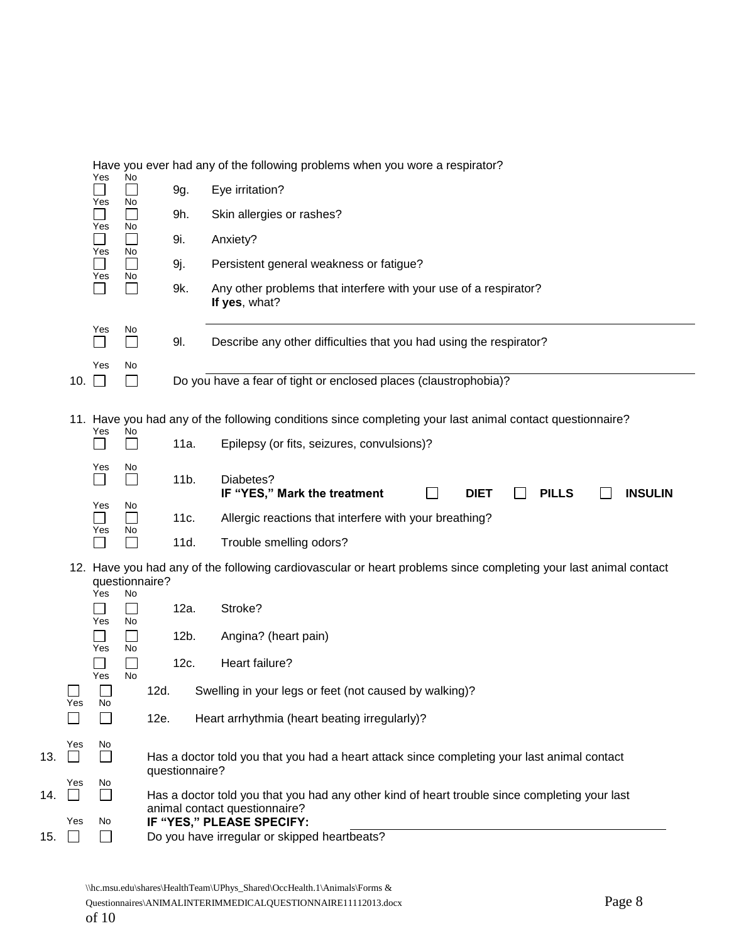|     |                       |                                     | No<br>Yes                         |      |                                                                                                                                | Have you ever had any of the following problems when you wore a respirator?                                      |  |  |  |  |  |
|-----|-----------------------|-------------------------------------|-----------------------------------|------|--------------------------------------------------------------------------------------------------------------------------------|------------------------------------------------------------------------------------------------------------------|--|--|--|--|--|
|     | Yes                   |                                     |                                   |      | 9g.                                                                                                                            | Eye irritation?                                                                                                  |  |  |  |  |  |
|     |                       | Yes                                 | No<br>$\mathbb{R}^n$              |      | 9h.                                                                                                                            | Skin allergies or rashes?                                                                                        |  |  |  |  |  |
|     |                       |                                     | No                                |      | 9i.                                                                                                                            | Anxiety?                                                                                                         |  |  |  |  |  |
|     | Yes<br>$\Box$         |                                     | No<br>$\Box$                      |      | 9j.                                                                                                                            | Persistent general weakness or fatigue?                                                                          |  |  |  |  |  |
|     |                       | Yes<br>П                            | No<br>П                           |      | 9k.                                                                                                                            | Any other problems that interfere with your use of a respirator?<br>If yes, what?                                |  |  |  |  |  |
|     |                       | Yes<br>$\Box$                       | No<br>$\Box$                      |      | 91.                                                                                                                            | Describe any other difficulties that you had using the respirator?                                               |  |  |  |  |  |
|     | 10.                   | Yes<br>$\mathcal{L}^{\text{max}}$   | No<br>$\perp$                     |      |                                                                                                                                | Do you have a fear of tight or enclosed places (claustrophobia)?                                                 |  |  |  |  |  |
|     |                       |                                     |                                   |      |                                                                                                                                |                                                                                                                  |  |  |  |  |  |
|     |                       | Yes                                 | No                                |      |                                                                                                                                | 11. Have you had any of the following conditions since completing your last animal contact questionnaire?        |  |  |  |  |  |
|     |                       |                                     | $\mathcal{L}_{\mathcal{A}}$       |      | 11a.                                                                                                                           | Epilepsy (or fits, seizures, convulsions)?                                                                       |  |  |  |  |  |
|     |                       | Yes<br>Yes<br>$\blacksquare$<br>Yes | No<br>$\mathcal{L}_{\mathcal{A}}$ |      | $11b$ .                                                                                                                        | Diabetes?<br>IF "YES," Mark the treatment<br><b>INSULIN</b><br><b>DIET</b><br><b>PILLS</b>                       |  |  |  |  |  |
|     |                       |                                     | No<br>$\Box$                      |      | 11c.                                                                                                                           | Allergic reactions that interfere with your breathing?                                                           |  |  |  |  |  |
|     |                       |                                     | No<br>┌                           |      | 11d.                                                                                                                           | Trouble smelling odors?                                                                                          |  |  |  |  |  |
|     |                       | questionnaire?                      |                                   |      |                                                                                                                                | 12. Have you had any of the following cardiovascular or heart problems since completing your last animal contact |  |  |  |  |  |
|     |                       | Yes<br>Yes<br>Yes<br>Yes<br>$\Box$  | No                                |      | 12a.                                                                                                                           | Stroke?                                                                                                          |  |  |  |  |  |
|     |                       |                                     | No<br>No                          |      | $12b$ .                                                                                                                        | Angina? (heart pain)                                                                                             |  |  |  |  |  |
|     |                       |                                     | No                                |      | 12c.                                                                                                                           | Heart failure?                                                                                                   |  |  |  |  |  |
|     | Yes                   |                                     |                                   | 12d. |                                                                                                                                | Swelling in your legs or feet (not caused by walking)?                                                           |  |  |  |  |  |
|     |                       | No<br>$\Box$                        |                                   | 12e. |                                                                                                                                | Heart arrhythmia (heart beating irregularly)?                                                                    |  |  |  |  |  |
| 13. | Yes<br>$\blacksquare$ | No<br>$\Box$                        |                                   |      | Has a doctor told you that you had a heart attack since completing your last animal contact<br>questionnaire?                  |                                                                                                                  |  |  |  |  |  |
| 14. | Yes                   | No.<br>$\Box$                       |                                   |      | Has a doctor told you that you had any other kind of heart trouble since completing your last<br>animal contact questionnaire? |                                                                                                                  |  |  |  |  |  |
| 15. | Yes<br>$\mathbf{L}$   | No<br>$\Box$                        |                                   |      | IF "YES," PLEASE SPECIFY:<br>Do you have irregular or skipped heartbeats?                                                      |                                                                                                                  |  |  |  |  |  |
|     |                       |                                     |                                   |      |                                                                                                                                |                                                                                                                  |  |  |  |  |  |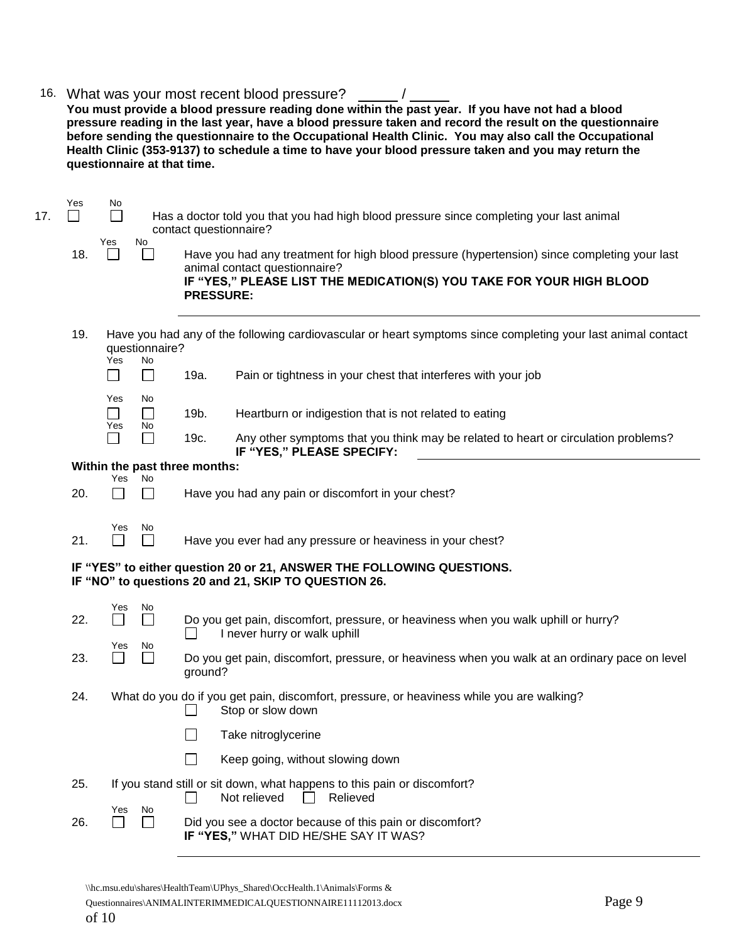| 16. |     |                                                                                                                                                                                                                                                                                                                                                                                    | questionnaire at that time.                                                                                                            |              | What was your most recent blood pressure?<br>You must provide a blood pressure reading done within the past year. If you have not had a blood<br>pressure reading in the last year, have a blood pressure taken and record the result on the questionnaire<br>before sending the questionnaire to the Occupational Health Clinic. You may also call the Occupational<br>Health Clinic (353-9137) to schedule a time to have your blood pressure taken and you may return the |  |  |  |
|-----|-----|------------------------------------------------------------------------------------------------------------------------------------------------------------------------------------------------------------------------------------------------------------------------------------------------------------------------------------------------------------------------------------|----------------------------------------------------------------------------------------------------------------------------------------|--------------|------------------------------------------------------------------------------------------------------------------------------------------------------------------------------------------------------------------------------------------------------------------------------------------------------------------------------------------------------------------------------------------------------------------------------------------------------------------------------|--|--|--|
| 17. | Yes | No.<br>$\Box$<br>Has a doctor told you that you had high blood pressure since completing your last animal<br>contact questionnaire?<br>No<br>Yes<br>Have you had any treatment for high blood pressure (hypertension) since completing your last<br>L<br>animal contact questionnaire?<br>IF "YES," PLEASE LIST THE MEDICATION(S) YOU TAKE FOR YOUR HIGH BLOOD<br><b>PRESSURE:</b> |                                                                                                                                        |              |                                                                                                                                                                                                                                                                                                                                                                                                                                                                              |  |  |  |
|     | 18. |                                                                                                                                                                                                                                                                                                                                                                                    |                                                                                                                                        |              |                                                                                                                                                                                                                                                                                                                                                                                                                                                                              |  |  |  |
|     | 19. | Yes                                                                                                                                                                                                                                                                                                                                                                                | questionnaire?<br>No                                                                                                                   |              | Have you had any of the following cardiovascular or heart symptoms since completing your last animal contact                                                                                                                                                                                                                                                                                                                                                                 |  |  |  |
|     |     | $\blacksquare$                                                                                                                                                                                                                                                                                                                                                                     | ⊔                                                                                                                                      | 19a.         | Pain or tightness in your chest that interferes with your job                                                                                                                                                                                                                                                                                                                                                                                                                |  |  |  |
|     |     | Yes                                                                                                                                                                                                                                                                                                                                                                                | No                                                                                                                                     |              |                                                                                                                                                                                                                                                                                                                                                                                                                                                                              |  |  |  |
|     |     | $\Box$<br>Yes                                                                                                                                                                                                                                                                                                                                                                      | $\Box$<br>No<br>$\mathcal{L}_{\mathcal{A}}$                                                                                            | 19b.<br>19c. | Heartburn or indigestion that is not related to eating<br>Any other symptoms that you think may be related to heart or circulation problems?                                                                                                                                                                                                                                                                                                                                 |  |  |  |
|     |     |                                                                                                                                                                                                                                                                                                                                                                                    | Within the past three months:                                                                                                          |              | IF "YES," PLEASE SPECIFY:                                                                                                                                                                                                                                                                                                                                                                                                                                                    |  |  |  |
|     |     | Yes                                                                                                                                                                                                                                                                                                                                                                                | No                                                                                                                                     |              |                                                                                                                                                                                                                                                                                                                                                                                                                                                                              |  |  |  |
|     | 20. |                                                                                                                                                                                                                                                                                                                                                                                    | $\Box$                                                                                                                                 |              | Have you had any pain or discomfort in your chest?                                                                                                                                                                                                                                                                                                                                                                                                                           |  |  |  |
|     | 21. | Yes                                                                                                                                                                                                                                                                                                                                                                                | No.<br>$\overline{\phantom{a}}$                                                                                                        |              | Have you ever had any pressure or heaviness in your chest?                                                                                                                                                                                                                                                                                                                                                                                                                   |  |  |  |
|     |     | IF "YES" to either question 20 or 21, ANSWER THE FOLLOWING QUESTIONS.<br>IF "NO" to questions 20 and 21, SKIP TO QUESTION 26.                                                                                                                                                                                                                                                      |                                                                                                                                        |              |                                                                                                                                                                                                                                                                                                                                                                                                                                                                              |  |  |  |
|     | 22. | Yes<br>No                                                                                                                                                                                                                                                                                                                                                                          |                                                                                                                                        |              | Do you get pain, discomfort, pressure, or heaviness when you walk uphill or hurry?<br>I never hurry or walk uphill                                                                                                                                                                                                                                                                                                                                                           |  |  |  |
|     | 23. |                                                                                                                                                                                                                                                                                                                                                                                    | Yes<br>No<br>Do you get pain, discomfort, pressure, or heaviness when you walk at an ordinary pace on level<br>$\mathsf{L}$<br>ground? |              |                                                                                                                                                                                                                                                                                                                                                                                                                                                                              |  |  |  |
|     | 24. |                                                                                                                                                                                                                                                                                                                                                                                    |                                                                                                                                        |              | What do you do if you get pain, discomfort, pressure, or heaviness while you are walking?<br>Stop or slow down                                                                                                                                                                                                                                                                                                                                                               |  |  |  |
|     |     |                                                                                                                                                                                                                                                                                                                                                                                    |                                                                                                                                        |              | Take nitroglycerine                                                                                                                                                                                                                                                                                                                                                                                                                                                          |  |  |  |
|     |     |                                                                                                                                                                                                                                                                                                                                                                                    |                                                                                                                                        |              | Keep going, without slowing down                                                                                                                                                                                                                                                                                                                                                                                                                                             |  |  |  |
|     | 25. |                                                                                                                                                                                                                                                                                                                                                                                    |                                                                                                                                        |              | If you stand still or sit down, what happens to this pain or discomfort?<br>Not relieved<br>Relieved                                                                                                                                                                                                                                                                                                                                                                         |  |  |  |
|     | 26. | Yes                                                                                                                                                                                                                                                                                                                                                                                | No<br>$\overline{\phantom{a}}$                                                                                                         |              | Did you see a doctor because of this pain or discomfort?<br>IF "YES," WHAT DID HE/SHE SAY IT WAS?                                                                                                                                                                                                                                                                                                                                                                            |  |  |  |

\\hc.msu.edu\shares\HealthTeam\UPhys\_Shared\OccHealth.1\Animals\Forms &

Questionnaires\ANIMALINTERIMMEDICALQUESTIONNAIRE11112013.docx Page 9 of 10